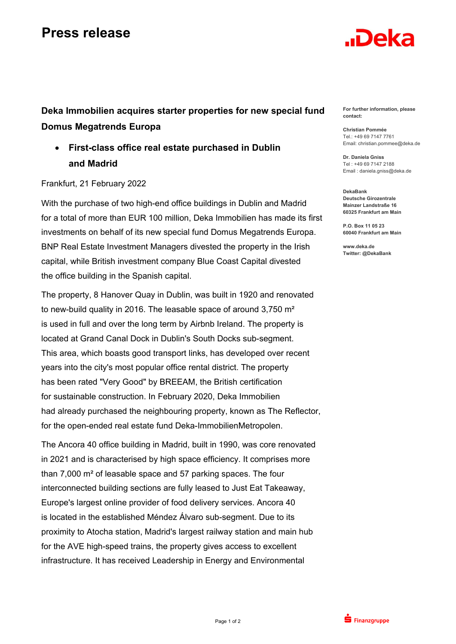## **Press release**

## .Deka

**Deka Immobilien acquires starter properties for new special fund Domus Megatrends Europa** 

 **First-class office real estate purchased in Dublin and Madrid** 

## Frankfurt, 21 February 2022

With the purchase of two high-end office buildings in Dublin and Madrid for a total of more than EUR 100 million, Deka Immobilien has made its first investments on behalf of its new special fund Domus Megatrends Europa. BNP Real Estate Investment Managers divested the property in the Irish capital, while British investment company Blue Coast Capital divested the office building in the Spanish capital.

The property, 8 Hanover Quay in Dublin, was built in 1920 and renovated to new-build quality in 2016. The leasable space of around 3,750 m² is used in full and over the long term by Airbnb Ireland. The property is located at Grand Canal Dock in Dublin's South Docks sub-segment. This area, which boasts good transport links, has developed over recent years into the city's most popular office rental district. The property has been rated "Very Good" by BREEAM, the British certification for sustainable construction. In February 2020, Deka Immobilien had already purchased the neighbouring property, known as The Reflector, for the open-ended real estate fund Deka-ImmobilienMetropolen.

The Ancora 40 office building in Madrid, built in 1990, was core renovated in 2021 and is characterised by high space efficiency. It comprises more than 7,000 m² of leasable space and 57 parking spaces. The four interconnected building sections are fully leased to Just Eat Takeaway, Europe's largest online provider of food delivery services. Ancora 40 is located in the established Méndez Álvaro sub-segment. Due to its proximity to Atocha station, Madrid's largest railway station and main hub for the AVE high-speed trains, the property gives access to excellent infrastructure. It has received Leadership in Energy and Environmental

**For further information, please contact:** 

**Christian Pommée**  Tel.: +49 69 7147 7761 Email: christian.pommee@deka.de

**Dr. Daniela Gniss**  Tel : +49 69 7147 2188 Email : daniela.gniss@deka.de

**DekaBank Deutsche Girozentrale Mainzer Landstraße 16 60325 Frankfurt am Main** 

**P.O. Box 11 05 23 60040 Frankfurt am Main** 

**www.deka.de Twitter: @DekaBank**